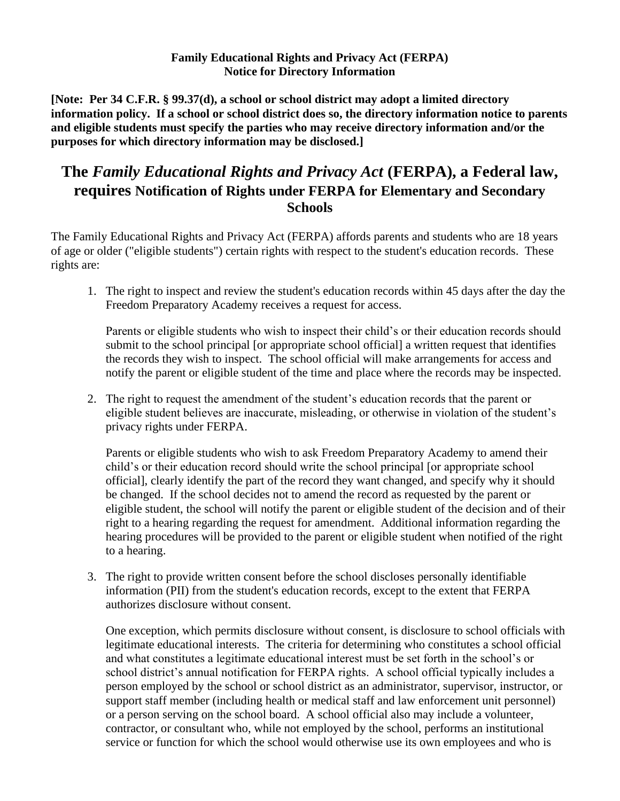## **Family Educational Rights and Privacy Act (FERPA) Notice for Directory Information**

**[Note: Per 34 C.F.R. § 99.37(d), a school or school district may adopt a limited directory information policy. If a school or school district does so, the directory information notice to parents and eligible students must specify the parties who may receive directory information and/or the purposes for which directory information may be disclosed.]**

## **The** *Family Educational Rights and Privacy Act* **(FERPA), a Federal law, requires Notification of Rights under FERPA for Elementary and Secondary Schools**

The Family Educational Rights and Privacy Act (FERPA) affords parents and students who are 18 years of age or older ("eligible students") certain rights with respect to the student's education records. These rights are:

1. The right to inspect and review the student's education records within 45 days after the day the Freedom Preparatory Academy receives a request for access.

Parents or eligible students who wish to inspect their child's or their education records should submit to the school principal [or appropriate school official] a written request that identifies the records they wish to inspect. The school official will make arrangements for access and notify the parent or eligible student of the time and place where the records may be inspected.

2. The right to request the amendment of the student's education records that the parent or eligible student believes are inaccurate, misleading, or otherwise in violation of the student's privacy rights under FERPA.

Parents or eligible students who wish to ask Freedom Preparatory Academy to amend their child's or their education record should write the school principal [or appropriate school official], clearly identify the part of the record they want changed, and specify why it should be changed. If the school decides not to amend the record as requested by the parent or eligible student, the school will notify the parent or eligible student of the decision and of their right to a hearing regarding the request for amendment. Additional information regarding the hearing procedures will be provided to the parent or eligible student when notified of the right to a hearing.

3. The right to provide written consent before the school discloses personally identifiable information (PII) from the student's education records, except to the extent that FERPA authorizes disclosure without consent.

One exception, which permits disclosure without consent, is disclosure to school officials with legitimate educational interests. The criteria for determining who constitutes a school official and what constitutes a legitimate educational interest must be set forth in the school's or school district's annual notification for FERPA rights. A school official typically includes a person employed by the school or school district as an administrator, supervisor, instructor, or support staff member (including health or medical staff and law enforcement unit personnel) or a person serving on the school board. A school official also may include a volunteer, contractor, or consultant who, while not employed by the school, performs an institutional service or function for which the school would otherwise use its own employees and who is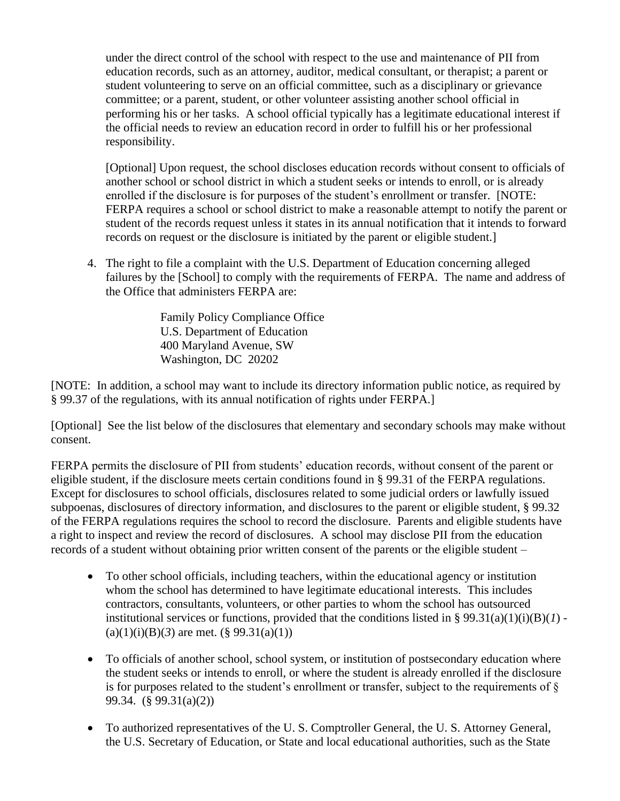under the direct control of the school with respect to the use and maintenance of PII from education records, such as an attorney, auditor, medical consultant, or therapist; a parent or student volunteering to serve on an official committee, such as a disciplinary or grievance committee; or a parent, student, or other volunteer assisting another school official in performing his or her tasks. A school official typically has a legitimate educational interest if the official needs to review an education record in order to fulfill his or her professional responsibility.

[Optional] Upon request, the school discloses education records without consent to officials of another school or school district in which a student seeks or intends to enroll, or is already enrolled if the disclosure is for purposes of the student's enrollment or transfer. [NOTE: FERPA requires a school or school district to make a reasonable attempt to notify the parent or student of the records request unless it states in its annual notification that it intends to forward records on request or the disclosure is initiated by the parent or eligible student.]

4. The right to file a complaint with the U.S. Department of Education concerning alleged failures by the [School] to comply with the requirements of FERPA. The name and address of the Office that administers FERPA are:

> Family Policy Compliance Office U.S. Department of Education 400 Maryland Avenue, SW Washington, DC 20202

[NOTE: In addition, a school may want to include its directory information public notice, as required by § 99.37 of the regulations, with its annual notification of rights under FERPA.]

[Optional] See the list below of the disclosures that elementary and secondary schools may make without consent.

FERPA permits the disclosure of PII from students' education records, without consent of the parent or eligible student, if the disclosure meets certain conditions found in § 99.31 of the FERPA regulations. Except for disclosures to school officials, disclosures related to some judicial orders or lawfully issued subpoenas, disclosures of directory information, and disclosures to the parent or eligible student, § 99.32 of the FERPA regulations requires the school to record the disclosure. Parents and eligible students have a right to inspect and review the record of disclosures. A school may disclose PII from the education records of a student without obtaining prior written consent of the parents or the eligible student –

- To other school officials, including teachers, within the educational agency or institution whom the school has determined to have legitimate educational interests. This includes contractors, consultants, volunteers, or other parties to whom the school has outsourced institutional services or functions, provided that the conditions listed in §  $99.31(a)(1)(i)(B)(*I*)$ .  $(a)(1)(i)(B)(3)$  are met.  $(\S 99.31(a)(1))$
- To officials of another school, school system, or institution of postsecondary education where the student seeks or intends to enroll, or where the student is already enrolled if the disclosure is for purposes related to the student's enrollment or transfer, subject to the requirements of  $\S$ 99.34. (§ 99.31(a)(2))
- To authorized representatives of the U. S. Comptroller General, the U. S. Attorney General, the U.S. Secretary of Education, or State and local educational authorities, such as the State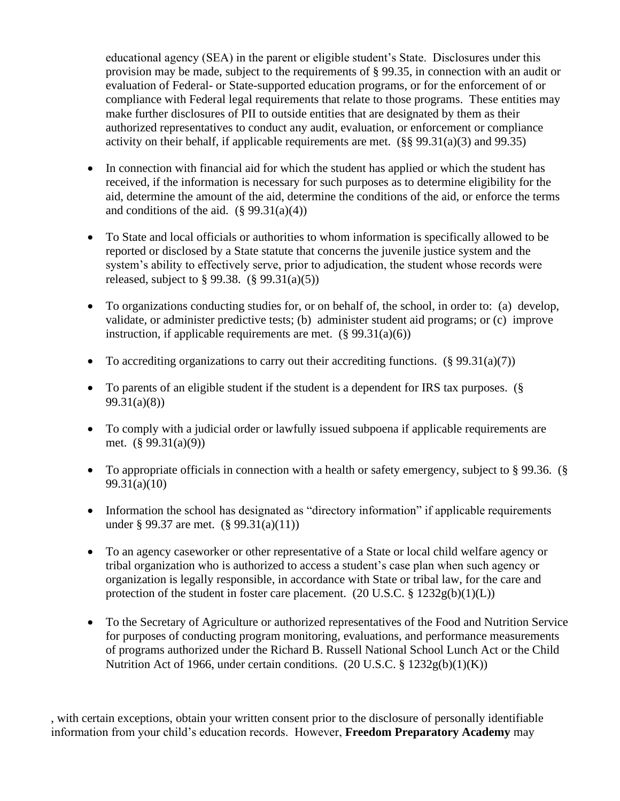educational agency (SEA) in the parent or eligible student's State. Disclosures under this provision may be made, subject to the requirements of § 99.35, in connection with an audit or evaluation of Federal- or State-supported education programs, or for the enforcement of or compliance with Federal legal requirements that relate to those programs. These entities may make further disclosures of PII to outside entities that are designated by them as their authorized representatives to conduct any audit, evaluation, or enforcement or compliance activity on their behalf, if applicable requirements are met. (§§ 99.31(a)(3) and 99.35)

- In connection with financial aid for which the student has applied or which the student has received, if the information is necessary for such purposes as to determine eligibility for the aid, determine the amount of the aid, determine the conditions of the aid, or enforce the terms and conditions of the aid.  $(\S 99.31(a)(4))$
- To State and local officials or authorities to whom information is specifically allowed to be reported or disclosed by a State statute that concerns the juvenile justice system and the system's ability to effectively serve, prior to adjudication, the student whose records were released, subject to  $\S 99.38$ .  $(\S 99.31(a)(5))$
- To organizations conducting studies for, or on behalf of, the school, in order to: (a) develop, validate, or administer predictive tests; (b) administer student aid programs; or (c) improve instruction, if applicable requirements are met.  $(\S 99.31(a)(6))$
- To accrediting organizations to carry out their accrediting functions.  $(\S 99.31(a)(7))$
- To parents of an eligible student if the student is a dependent for IRS tax purposes. (§ 99.31(a)(8))
- To comply with a judicial order or lawfully issued subpoena if applicable requirements are met. (§ 99.31(a)(9))
- To appropriate officials in connection with a health or safety emergency, subject to § 99.36. (§ 99.31(a)(10)
- Information the school has designated as "directory information" if applicable requirements under § 99.37 are met. (§ 99.31(a)(11))
- To an agency caseworker or other representative of a State or local child welfare agency or tribal organization who is authorized to access a student's case plan when such agency or organization is legally responsible, in accordance with State or tribal law, for the care and protection of the student in foster care placement.  $(20 \text{ U.S.C.} \S 1232g(b)(1)(L))$
- To the Secretary of Agriculture or authorized representatives of the Food and Nutrition Service for purposes of conducting program monitoring, evaluations, and performance measurements of programs authorized under the Richard B. Russell National School Lunch Act or the Child Nutrition Act of 1966, under certain conditions.  $(20 \text{ U.S.C.} \& 1232g(b)(1)(K))$

, with certain exceptions, obtain your written consent prior to the disclosure of personally identifiable information from your child's education records. However, **Freedom Preparatory Academy** may